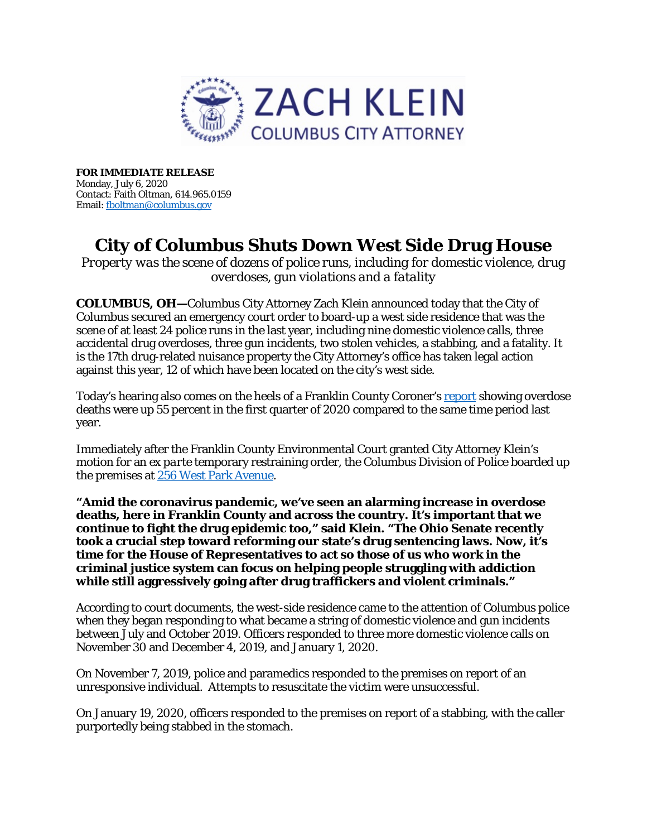

**FOR IMMEDIATE RELEASE**  Monday, July 6, 2020 Contact: Faith Oltman, 614.965.0159 Email[: fboltman@columbus.gov](mailto:fboltman@columbus.gov)

## **City of Columbus Shuts Down West Side Drug House**

*Property was the scene of dozens of police runs, including for domestic violence, drug overdoses, gun violations and a fatality*

**COLUMBUS, OH—**Columbus City Attorney Zach Klein announced today that the City of Columbus secured an emergency court order to board-up a west side residence that was the scene of at least 24 police runs in the last year, including nine domestic violence calls, three accidental drug overdoses, three gun incidents, two stolen vehicles, a stabbing, and a fatality. It is the 17th drug-related nuisance property the City Attorney's office has taken legal action against this year, 12 of which have been located on the city's west side.

Today's hearing also comes on the heels of a Franklin County Coroner's [report](https://coroner.franklincountyohio.gov/media/2020-first-quarter-drug-overdose-deaths-report) showing overdose deaths were up 55 percent in the first quarter of 2020 compared to the same time period last year.

Immediately after the Franklin County Environmental Court granted City Attorney Klein's motion for an *ex parte* temporary restraining order, the Columbus Division of Police boarded up the premises a[t 256 West Park Avenue.](https://city-attorney.columbus.gov/pdf/press/256_West_Park_Ave._Signed_TRO.pdf)

**"Amid the coronavirus pandemic, we've seen an alarming increase in overdose deaths, here in Franklin County and across the country. It's important that we continue to fight the drug epidemic too," said Klein. "The Ohio Senate recently took a crucial step toward reforming our state's drug sentencing laws. Now, it's time for the House of Representatives to act so those of us who work in the criminal justice system can focus on helping people struggling with addiction while still aggressively going after drug traffickers and violent criminals."**

According to court documents, the west-side residence came to the attention of Columbus police when they began responding to what became a string of domestic violence and gun incidents between July and October 2019. Officers responded to three more domestic violence calls on November 30 and December 4, 2019, and January 1, 2020.

On November 7, 2019, police and paramedics responded to the premises on report of an unresponsive individual. Attempts to resuscitate the victim were unsuccessful.

On January 19, 2020, officers responded to the premises on report of a stabbing, with the caller purportedly being stabbed in the stomach.